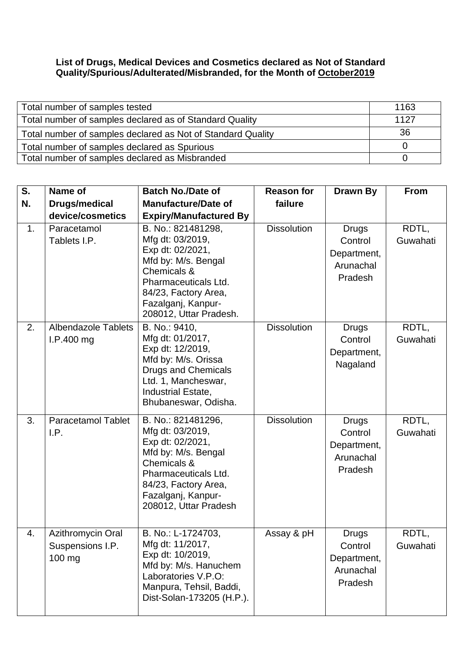## **List of Drugs, Medical Devices and Cosmetics declared as Not of Standard Quality/Spurious/Adulterated/Misbranded, for the Month of October2019**

| Total number of samples tested                              | 1163 |
|-------------------------------------------------------------|------|
| Total number of samples declared as of Standard Quality     | 1127 |
| Total number of samples declared as Not of Standard Quality | 36   |
| Total number of samples declared as Spurious                |      |
| Total number of samples declared as Misbranded              |      |

| S. | Name of                                         | <b>Batch No./Date of</b>                                                                                                                                                                         | <b>Reason for</b>  | Drawn By                                                       | <b>From</b>       |
|----|-------------------------------------------------|--------------------------------------------------------------------------------------------------------------------------------------------------------------------------------------------------|--------------------|----------------------------------------------------------------|-------------------|
| N. | <b>Drugs/medical</b>                            | <b>Manufacture/Date of</b>                                                                                                                                                                       | failure            |                                                                |                   |
|    | device/cosmetics                                | <b>Expiry/Manufactured By</b>                                                                                                                                                                    |                    |                                                                |                   |
| 1. | Paracetamol<br>Tablets I.P.                     | B. No.: 821481298,<br>Mfg dt: 03/2019,<br>Exp dt: 02/2021,<br>Mfd by: M/s. Bengal<br>Chemicals &<br>Pharmaceuticals Ltd.<br>84/23, Factory Area,<br>Fazalganj, Kanpur-<br>208012, Uttar Pradesh. | <b>Dissolution</b> | Drugs<br>Control<br>Department,<br>Arunachal<br>Pradesh        | RDTL,<br>Guwahati |
| 2. | <b>Albendazole Tablets</b><br>I.P.400 mg        | B. No.: 9410,<br>Mfg dt: 01/2017,<br>Exp dt: 12/2019,<br>Mfd by: M/s. Orissa<br>Drugs and Chemicals<br>Ltd. 1, Mancheswar,<br>Industrial Estate,<br>Bhubaneswar, Odisha.                         | <b>Dissolution</b> | <b>Drugs</b><br>Control<br>Department,<br>Nagaland             | RDTL,<br>Guwahati |
| 3. | <b>Paracetamol Tablet</b><br>I.P.               | B. No.: 821481296,<br>Mfg dt: 03/2019,<br>Exp dt: 02/2021,<br>Mfd by: M/s. Bengal<br>Chemicals &<br>Pharmaceuticals Ltd.<br>84/23, Factory Area,<br>Fazalganj, Kanpur-<br>208012, Uttar Pradesh  | <b>Dissolution</b> | Drugs<br>Control<br>Department,<br>Arunachal<br>Pradesh        | RDTL,<br>Guwahati |
| 4. | Azithromycin Oral<br>Suspensions I.P.<br>100 mg | B. No.: L-1724703,<br>Mfg dt: 11/2017,<br>Exp dt: 10/2019,<br>Mfd by: M/s. Hanuchem<br>Laboratories V.P.O:<br>Manpura, Tehsil, Baddi,<br>Dist-Solan-173205 (H.P.).                               | Assay & pH         | <b>Drugs</b><br>Control<br>Department,<br>Arunachal<br>Pradesh | RDTL,<br>Guwahati |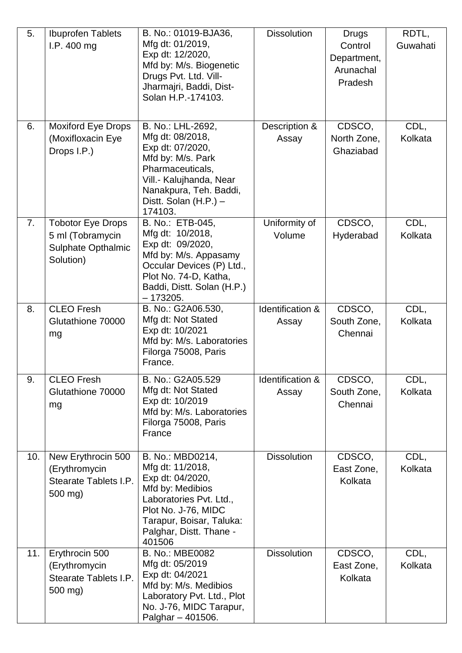| 5.             | <b>Ibuprofen Tablets</b>  | B. No.: 01019-BJA36,                                | <b>Dissolution</b> | <b>Drugs</b> | RDTL,    |
|----------------|---------------------------|-----------------------------------------------------|--------------------|--------------|----------|
|                | I.P.400 mg                | Mfg dt: 01/2019,                                    |                    | Control      | Guwahati |
|                |                           | Exp dt: 12/2020,                                    |                    | Department,  |          |
|                |                           | Mfd by: M/s. Biogenetic                             |                    | Arunachal    |          |
|                |                           | Drugs Pvt. Ltd. Vill-                               |                    | Pradesh      |          |
|                |                           | Jharmajri, Baddi, Dist-                             |                    |              |          |
|                |                           | Solan H.P.-174103.                                  |                    |              |          |
|                |                           |                                                     |                    |              |          |
| 6.             | <b>Moxiford Eye Drops</b> | B. No.: LHL-2692,                                   | Description &      | CDSCO,       | CDL,     |
|                | (Moxifloxacin Eye         | Mfg dt: 08/2018,                                    | Assay              | North Zone,  | Kolkata  |
|                | Drops I.P.)               | Exp dt: 07/2020,                                    |                    | Ghaziabad    |          |
|                |                           | Mfd by: M/s. Park                                   |                    |              |          |
|                |                           | Pharmaceuticals,                                    |                    |              |          |
|                |                           | Vill.- Kalujhanda, Near<br>Nanakpura, Teh. Baddi,   |                    |              |          |
|                |                           | Distt. Solan $(H.P.) -$                             |                    |              |          |
|                |                           | 174103.                                             |                    |              |          |
| 7 <sub>1</sub> | Tobotor Eye Drops         | B. No.: ETB-045,                                    | Uniformity of      | CDSCO,       | CDL,     |
|                | 5 ml (Tobramycin          | Mfg dt: 10/2018,                                    | Volume             | Hyderabad    | Kolkata  |
|                | <b>Sulphate Opthalmic</b> | Exp dt: 09/2020,                                    |                    |              |          |
|                | Solution)                 | Mfd by: M/s. Appasamy                               |                    |              |          |
|                |                           | Occular Devices (P) Ltd.,<br>Plot No. 74-D, Katha,  |                    |              |          |
|                |                           | Baddi, Distt. Solan (H.P.)                          |                    |              |          |
|                |                           | $-173205.$                                          |                    |              |          |
| 8.             | <b>CLEO</b> Fresh         | B. No.: G2A06.530,                                  | Identification &   | CDSCO,       | CDL,     |
|                | Glutathione 70000         | Mfg dt: Not Stated                                  | Assay              | South Zone,  | Kolkata  |
|                | mg                        | Exp dt: 10/2021                                     |                    | Chennai      |          |
|                |                           | Mfd by: M/s. Laboratories                           |                    |              |          |
|                |                           | Filorga 75008, Paris<br>France.                     |                    |              |          |
|                |                           |                                                     |                    |              |          |
| 9.             | <b>CLEO</b> Fresh         | B. No.: G2A05.529                                   | Identification &   | CDSCO,       | CDL,     |
|                | Glutathione 70000         | Mfg dt: Not Stated                                  | Assay              | South Zone,  | Kolkata  |
|                | mg                        | Exp dt: 10/2019                                     |                    | Chennai      |          |
|                |                           | Mfd by: M/s. Laboratories<br>Filorga 75008, Paris   |                    |              |          |
|                |                           | France                                              |                    |              |          |
|                |                           |                                                     |                    |              |          |
| 10.            | New Erythrocin 500        | B. No.: MBD0214,                                    | <b>Dissolution</b> | CDSCO,       | CDL,     |
|                | (Erythromycin             | Mfg dt: 11/2018,                                    |                    | East Zone,   | Kolkata  |
|                | Stearate Tablets I.P.     | Exp dt: 04/2020,                                    |                    | Kolkata      |          |
|                | 500 mg)                   | Mfd by: Medibios                                    |                    |              |          |
|                |                           | Laboratories Pvt. Ltd.,                             |                    |              |          |
|                |                           | Plot No. J-76, MIDC                                 |                    |              |          |
|                |                           | Tarapur, Boisar, Taluka:<br>Palghar, Distt. Thane - |                    |              |          |
|                |                           | 401506                                              |                    |              |          |
| 11.            | Erythrocin 500            | B. No.: MBE0082                                     | <b>Dissolution</b> | CDSCO,       | CDL,     |
|                | (Erythromycin             | Mfg dt: 05/2019                                     |                    | East Zone,   | Kolkata  |
|                | Stearate Tablets I.P.     | Exp dt: 04/2021                                     |                    | Kolkata      |          |
|                | 500 mg)                   | Mfd by: M/s. Medibios                               |                    |              |          |
|                |                           | Laboratory Pvt. Ltd., Plot                          |                    |              |          |
|                |                           | No. J-76, MIDC Tarapur,<br>Palghar - 401506.        |                    |              |          |
|                |                           |                                                     |                    |              |          |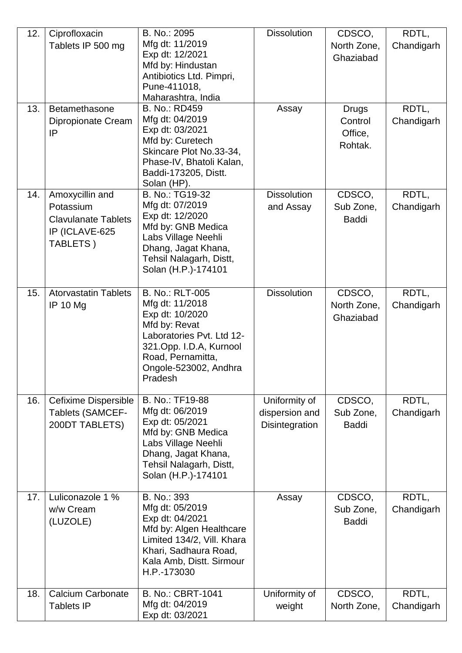| 12. | Ciprofloxacin               | B. No.: 2095                              | <b>Dissolution</b> | CDSCO,       | RDTL,      |
|-----|-----------------------------|-------------------------------------------|--------------------|--------------|------------|
|     | Tablets IP 500 mg           | Mfg dt: 11/2019                           |                    | North Zone,  | Chandigarh |
|     |                             | Exp dt: 12/2021                           |                    | Ghaziabad    |            |
|     |                             | Mfd by: Hindustan                         |                    |              |            |
|     |                             | Antibiotics Ltd. Pimpri,                  |                    |              |            |
|     |                             | Pune-411018,                              |                    |              |            |
|     |                             | Maharashtra, India                        |                    |              |            |
| 13. | Betamethasone               | B. No.: RD459                             | Assay              | <b>Drugs</b> | RDTL,      |
|     | Dipropionate Cream          | Mfg dt: 04/2019                           |                    | Control      | Chandigarh |
|     | IP                          | Exp dt: 03/2021                           |                    | Office,      |            |
|     |                             | Mfd by: Curetech                          |                    |              |            |
|     |                             | Skincare Plot No.33-34,                   |                    | Rohtak.      |            |
|     |                             | Phase-IV, Bhatoli Kalan,                  |                    |              |            |
|     |                             | Baddi-173205, Distt.                      |                    |              |            |
|     |                             | Solan (HP).                               |                    |              |            |
| 14. | Amoxycillin and             | B. No.: TG19-32                           | <b>Dissolution</b> | CDSCO,       | RDTL,      |
|     | Potassium                   | Mfg dt: 07/2019                           | and Assay          | Sub Zone,    | Chandigarh |
|     | <b>Clavulanate Tablets</b>  | Exp dt: 12/2020                           |                    | <b>Baddi</b> |            |
|     | IP (ICLAVE-625              | Mfd by: GNB Medica                        |                    |              |            |
|     |                             | Labs Village Neehli                       |                    |              |            |
|     | TABLETS)                    | Dhang, Jagat Khana,                       |                    |              |            |
|     |                             | Tehsil Nalagarh, Distt,                   |                    |              |            |
|     |                             | Solan (H.P.)-174101                       |                    |              |            |
|     |                             |                                           |                    |              |            |
| 15. | <b>Atorvastatin Tablets</b> | <b>B. No.: RLT-005</b>                    | <b>Dissolution</b> | CDSCO,       | RDTL,      |
|     | <b>IP 10 Mg</b>             | Mfg dt: 11/2018                           |                    | North Zone,  | Chandigarh |
|     |                             | Exp dt: 10/2020                           |                    | Ghaziabad    |            |
|     |                             | Mfd by: Revat                             |                    |              |            |
|     |                             | Laboratories Pvt. Ltd 12-                 |                    |              |            |
|     |                             | 321.Opp. I.D.A, Kurnool                   |                    |              |            |
|     |                             | Road, Pernamitta,                         |                    |              |            |
|     |                             | Ongole-523002, Andhra                     |                    |              |            |
|     |                             | Pradesh                                   |                    |              |            |
|     |                             |                                           |                    |              |            |
| 16. | Cefixime Dispersible        | B. No.: TF19-88                           | Uniformity of      | CDSCO,       | RDTL,      |
|     | Tablets (SAMCEF-            | Mfg dt: 06/2019                           | dispersion and     | Sub Zone,    | Chandigarh |
|     | 200DT TABLETS)              | Exp dt: 05/2021                           | Disintegration     | <b>Baddi</b> |            |
|     |                             | Mfd by: GNB Medica<br>Labs Village Neehli |                    |              |            |
|     |                             | Dhang, Jagat Khana,                       |                    |              |            |
|     |                             | Tehsil Nalagarh, Distt,                   |                    |              |            |
|     |                             | Solan (H.P.)-174101                       |                    |              |            |
|     |                             |                                           |                    |              |            |
| 17. | Luliconazole 1 %            | B. No.: 393                               | Assay              | CDSCO,       | RDTL,      |
|     | w/w Cream                   | Mfg dt: 05/2019                           |                    | Sub Zone,    | Chandigarh |
|     |                             | Exp dt: 04/2021                           |                    |              |            |
|     | (LUZOLE)                    | Mfd by: Algen Healthcare                  |                    | <b>Baddi</b> |            |
|     |                             | Limited 134/2, Vill. Khara                |                    |              |            |
|     |                             | Khari, Sadhaura Road,                     |                    |              |            |
|     |                             | Kala Amb, Distt. Sirmour                  |                    |              |            |
|     |                             | H.P.-173030                               |                    |              |            |
|     |                             |                                           |                    |              |            |
| 18. | <b>Calcium Carbonate</b>    | B. No.: CBRT-1041                         | Uniformity of      | CDSCO,       | RDTL,      |
|     | <b>Tablets IP</b>           | Mfg dt: 04/2019                           | weight             | North Zone,  | Chandigarh |
|     |                             | Exp dt: 03/2021                           |                    |              |            |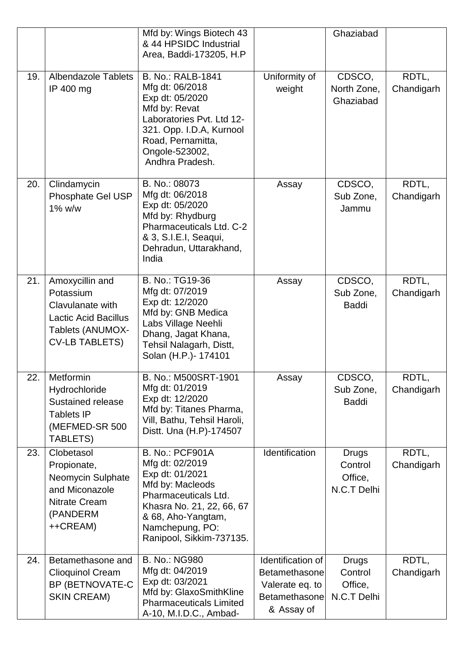|     |                                                                                                                              | Mfd by: Wings Biotech 43<br>& 44 HPSIDC Industrial<br>Area, Baddi-173205, H.P.                                                                                                                             |                                                                                      | Ghaziabad                                         |                     |
|-----|------------------------------------------------------------------------------------------------------------------------------|------------------------------------------------------------------------------------------------------------------------------------------------------------------------------------------------------------|--------------------------------------------------------------------------------------|---------------------------------------------------|---------------------|
| 19. | <b>Albendazole Tablets</b><br>IP 400 mg                                                                                      | <b>B. No.: RALB-1841</b><br>Mfg dt: 06/2018<br>Exp dt: 05/2020<br>Mfd by: Revat<br>Laboratories Pvt. Ltd 12-<br>321. Opp. I.D.A, Kurnool<br>Road, Pernamitta,<br>Ongole-523002,<br>Andhra Pradesh.         | Uniformity of<br>weight                                                              | CDSCO,<br>North Zone,<br>Ghaziabad                | RDTL,<br>Chandigarh |
| 20. | Clindamycin<br>Phosphate Gel USP<br>1% w/w                                                                                   | B. No.: 08073<br>Mfg dt: 06/2018<br>Exp dt: 05/2020<br>Mfd by: Rhydburg<br>Pharmaceuticals Ltd. C-2<br>& 3, S.I.E.I, Seaqui,<br>Dehradun, Uttarakhand,<br>India                                            | Assay                                                                                | CDSCO,<br>Sub Zone,<br>Jammu                      | RDTL,<br>Chandigarh |
| 21. | Amoxycillin and<br>Potassium<br>Clavulanate with<br><b>Lactic Acid Bacillus</b><br>Tablets (ANUMOX-<br><b>CV-LB TABLETS)</b> | B. No.: TG19-36<br>Mfg dt: 07/2019<br>Exp dt: 12/2020<br>Mfd by: GNB Medica<br>Labs Village Neehli<br>Dhang, Jagat Khana,<br>Tehsil Nalagarh, Distt,<br>Solan (H.P.)- 174101                               | Assay                                                                                | CDSCO,<br>Sub Zone,<br><b>Baddi</b>               | RDTL,<br>Chandigarh |
| 22. | Metformin<br>Hydrochloride<br>Sustained release<br><b>Tablets IP</b><br>(MEFMED-SR 500<br>TABLETS)                           | B. No.: M500SRT-1901<br>Mfg dt: 01/2019<br>Exp dt: 12/2020<br>Mfd by: Titanes Pharma,<br>Vill, Bathu, Tehsil Haroli,<br>Distt. Una (H.P)-174507                                                            | Assay                                                                                | CDSCO,<br>Sub Zone,<br><b>Baddi</b>               | RDTL,<br>Chandigarh |
| 23. | Clobetasol<br>Propionate,<br>Neomycin Sulphate<br>and Miconazole<br><b>Nitrate Cream</b><br>(PANDERM<br>++CREAM)             | <b>B. No.: PCF901A</b><br>Mfg dt: 02/2019<br>Exp dt: 01/2021<br>Mfd by: Macleods<br>Pharmaceuticals Ltd.<br>Khasra No. 21, 22, 66, 67<br>& 68, Aho-Yangtam,<br>Namchepung, PO:<br>Ranipool, Sikkim-737135. | Identification                                                                       | <b>Drugs</b><br>Control<br>Office,<br>N.C.T Delhi | RDTL,<br>Chandigarh |
| 24. | Betamethasone and<br><b>Clioquinol Cream</b><br>BP (BETNOVATE-C<br><b>SKIN CREAM)</b>                                        | <b>B. No.: NG980</b><br>Mfg dt: 04/2019<br>Exp dt: 03/2021<br>Mfd by: GlaxoSmithKline<br><b>Pharmaceuticals Limited</b><br>A-10, M.I.D.C., Ambad-                                                          | Identification of<br>Betamethasone<br>Valerate eq. to<br>Betamethasone<br>& Assay of | Drugs<br>Control<br>Office,<br>N.C.T Delhi        | RDTL,<br>Chandigarh |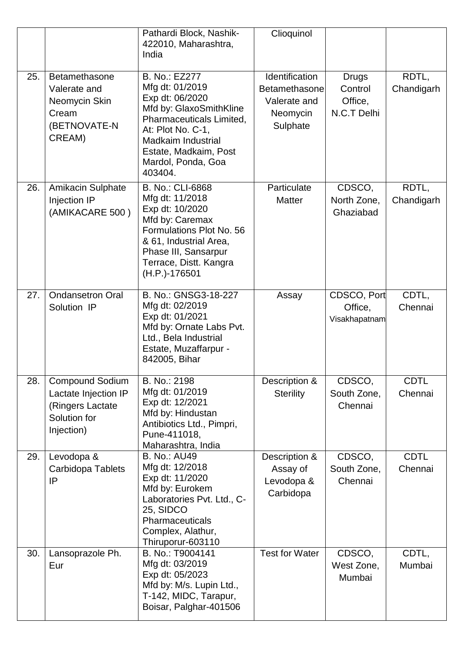|     |                                                                                                  | Pathardi Block, Nashik-<br>422010, Maharashtra,<br>India                                                                                                                                                               | Clioquinol                                                              |                                                   |                        |
|-----|--------------------------------------------------------------------------------------------------|------------------------------------------------------------------------------------------------------------------------------------------------------------------------------------------------------------------------|-------------------------------------------------------------------------|---------------------------------------------------|------------------------|
| 25. | Betamethasone<br>Valerate and<br>Neomycin Skin<br>Cream<br>(BETNOVATE-N<br>CREAM)                | B. No.: EZ277<br>Mfg dt: 01/2019<br>Exp dt: 06/2020<br>Mfd by: GlaxoSmithKline<br>Pharmaceuticals Limited,<br>At: Plot No. C-1,<br><b>Madkaim Industrial</b><br>Estate, Madkaim, Post<br>Mardol, Ponda, Goa<br>403404. | Identification<br>Betamethasone<br>Valerate and<br>Neomycin<br>Sulphate | <b>Drugs</b><br>Control<br>Office,<br>N.C.T Delhi | RDTL,<br>Chandigarh    |
| 26. | <b>Amikacin Sulphate</b><br>Injection IP<br>(AMIKACARE 500)                                      | B. No.: CLI-6868<br>Mfg dt: 11/2018<br>Exp dt: 10/2020<br>Mfd by: Caremax<br>Formulations Plot No. 56<br>& 61, Industrial Area,<br>Phase III, Sansarpur<br>Terrace, Distt. Kangra<br>(H.P.)-176501                     | Particulate<br><b>Matter</b>                                            | CDSCO,<br>North Zone,<br>Ghaziabad                | RDTL,<br>Chandigarh    |
| 27. | <b>Ondansetron Oral</b><br>Solution IP                                                           | B. No.: GNSG3-18-227<br>Mfg dt: 02/2019<br>Exp dt: 01/2021<br>Mfd by: Ornate Labs Pvt.<br>Ltd., Bela Industrial<br>Estate, Muzaffarpur -<br>842005, Bihar                                                              | Assay                                                                   | CDSCO, Port<br>Office,<br>Visakhapatnam           | CDTL,<br>Chennai       |
| 28. | <b>Compound Sodium</b><br>Lactate Injection IP<br>(Ringers Lactate<br>Solution for<br>Injection) | B. No.: 2198<br>Mfg dt: 01/2019<br>Exp dt: 12/2021<br>Mfd by: Hindustan<br>Antibiotics Ltd., Pimpri,<br>Pune-411018,<br>Maharashtra, India                                                                             | Description &<br><b>Sterility</b>                                       | CDSCO,<br>South Zone,<br>Chennai                  | <b>CDTL</b><br>Chennai |
| 29. | Levodopa &<br>Carbidopa Tablets<br>IP                                                            | <b>B. No.: AU49</b><br>Mfg dt: 12/2018<br>Exp dt: 11/2020<br>Mfd by: Eurokem<br>Laboratories Pvt. Ltd., C-<br>25, SIDCO<br>Pharmaceuticals<br>Complex, Alathur,<br>Thiruporur-603110                                   | Description &<br>Assay of<br>Levodopa &<br>Carbidopa                    | CDSCO,<br>South Zone,<br>Chennai                  | <b>CDTL</b><br>Chennai |
| 30. | Lansoprazole Ph.<br>Eur                                                                          | B. No.: T9004141<br>Mfg dt: 03/2019<br>Exp dt: 05/2023<br>Mfd by: M/s. Lupin Ltd.,<br>T-142, MIDC, Tarapur,<br>Boisar, Palghar-401506                                                                                  | <b>Test for Water</b>                                                   | CDSCO,<br>West Zone,<br>Mumbai                    | CDTL,<br>Mumbai        |